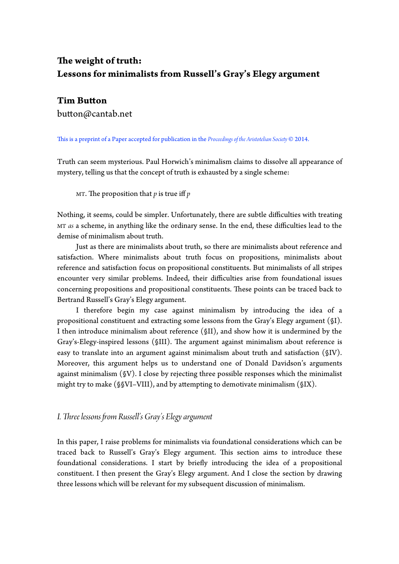# **Te weight of truth: Lessons for minimalists from Russell's Gray's Elegy argument**

## **Tim Buton**

buton@cantab.net

Tis is a preprint of a Paper accepted for publication in the *Proceedings of the Aristotelian Society* © 2014.

Truth can seem mysterious. Paul Horwich's minimalism claims to dissolve all appearance of mystery, telling us that the concept of truth is exhausted by a single scheme:

MT. The proposition that  $p$  is true iff  $p$ 

Nothing, it seems, could be simpler. Unfortunately, there are subtle difficulties with treating MT *as* a scheme, in anything like the ordinary sense. In the end, these difficulties lead to the demise of minimalism about truth.

Just as there are minimalists about truth, so there are minimalists about reference and satisfaction. Where minimalists about truth focus on propositions, minimalists about reference and satisfaction focus on propositional constituents. But minimalists of all stripes encounter very similar problems. Indeed, their difficulties arise from foundational issues concerning propositions and propositional constituents. These points can be traced back to Bertrand Russell's Gray's Elegy argument.

I therefore begin my case against minimalism by introducing the idea of a propositional constituent and extracting some lessons from the Gray's Elegy argument (§I). I then introduce minimalism about reference (§II), and show how it is undermined by the Gray's-Elegy-inspired lessons (§III). The argument against minimalism about reference is easy to translate into an argument against minimalism about truth and satisfaction (§IV). Moreover, this argument helps us to understand one of Donald Davidson's arguments against minimalism (§V). I close by rejecting three possible responses which the minimalist might try to make (§§VI–VIII), and by atempting to demotivate minimalism (§IX).

## *I. Tree lessons fom Russell's Gray's Elegy argument*

In this paper, I raise problems for minimalists via foundational considerations which can be traced back to Russell's Gray's Elegy argument. This section aims to introduce these foundational considerations. I start by briefy introducing the idea of a propositional constituent. I then present the Gray's Elegy argument. And I close the section by drawing three lessons which will be relevant for my subsequent discussion of minimalism.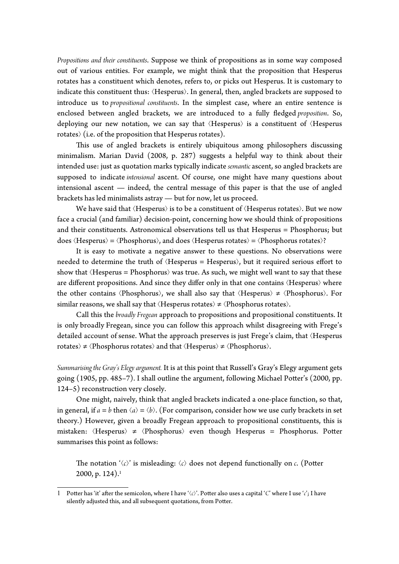*Propositions and their constituents*. Suppose we think of propositions as in some way composed out of various entities. For example, we might think that the proposition that Hesperus rotates has a constituent which denotes, refers to, or picks out Hesperus. It is customary to indicate this constituent thus: ⟨Hesperus⟩. In general, then, angled brackets are supposed to introduce us to *propositional constituents*. In the simplest case, where an entire sentence is enclosed between angled brackets, we are introduced to a fully fedged *proposition*. So, deploying our new notation, we can say that ⟨Hesperus⟩ is a constituent of ⟨Hesperus rotates $\langle$  (i.e. of the proposition that Hesperus rotates).

This use of angled brackets is entirely ubiquitous among philosophers discussing minimalism. Marian David (2008, p. 287) suggests a helpful way to think about their intended use: just as quotation marks typically indicate *semantic* ascent, so angled brackets are supposed to indicate *intensional* ascent. Of course, one might have many questions about intensional ascent — indeed, the central message of this paper is that the use of angled brackets has led minimalists astray — but for now, let us proceed.

We have said that  $\langle$ Hesperus $\rangle$  is to be a constituent of  $\langle$ Hesperus rotates $\rangle$ . But we now face a crucial (and familiar) decision-point, concerning how we should think of propositions and their constituents. Astronomical observations tell us that Hesperus = Phosphorus; but does ⟨Hesperus⟩ = ⟨Phosphorus⟩, and does ⟨Hesperus rotates⟩ = ⟨Phosphorus rotates⟩?

It is easy to motivate a negative answer to these questions. No observations were needed to determine the truth of  $\langle$ Hesperus = Hesperus $\rangle$ , but it required serious effort to show that  $\langle$  Hesperus = Phosphorus $\rangle$  was true. As such, we might well want to say that these are different propositions. And since they differ only in that one contains ⟨Hesperus⟩ where the other contains  $\langle$ Phosphorus $\rangle$ , we shall also say that  $\langle$ Hesperus $\rangle \neq \langle$ Phosphorus $\rangle$ . For similar reasons, we shall say that  $\langle$  Hesperus rotates $\rangle \neq \langle$  Phosphorus rotates $\rangle$ .

Call this the *broadly Fregean* approach to propositions and propositional constituents. It is only broadly Fregean, since you can follow this approach whilst disagreeing with Frege's detailed account of sense. What the approach preserves is just Frege's claim, that ⟨Hesperus rotates $\rangle \neq \langle$ Phosphorus rotates $\rangle$  and that  $\langle$ Hesperus $\rangle \neq \langle$ Phosphorus $\rangle$ .

*Summarising the Gray's Elegy argument.* It is at this point that Russell's Gray's Elegy argument gets going (1905, pp. 485–7). I shall outline the argument, following Michael Poter's (2000, pp. 124–5) reconstruction very closely.

One might, naively, think that angled brackets indicated a one-place function, so that, in general, if  $a = b$  then  $\langle a \rangle = \langle b \rangle$ . (For comparison, consider how we use curly brackets in set theory.) However, given a broadly Fregean approach to propositional constituents, this is mistaken:  $\langle$ Hesperus $\rangle \neq \langle$ Phosphorus $\rangle$  even though Hesperus = Phosphorus. Potter summarises this point as follows:

The notation ' $\langle c \rangle$ ' is misleading:  $\langle c \rangle$  does not depend functionally on  $c$ . (Potter 2000, p. 124).<sup>1</sup>

<sup>1</sup> Poter has 'it' afer the semicolon, where I have '⟨*c*⟩'. Poter also uses a capital '*C*' where I use '*c*'; I have silently adjusted this, and all subsequent quotations, from Poter.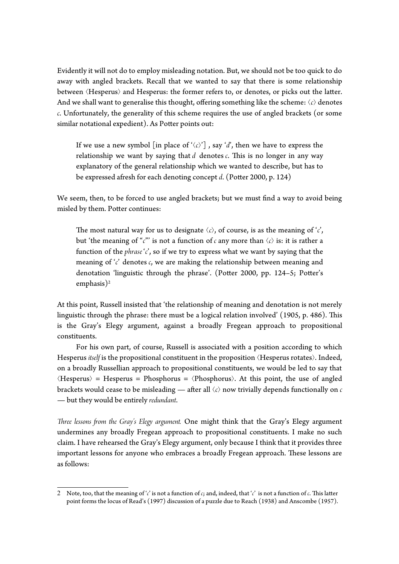Evidently it will not do to employ misleading notation. But, we should not be too quick to do away with angled brackets. Recall that we wanted to say that there is some relationship between  $\langle$ Hesperus $\rangle$  and Hesperus: the former refers to, or denotes, or picks out the latter. And we shall want to generalise this thought, offering something like the scheme:  $\langle c \rangle$  denotes *c*. Unfortunately, the generality of this scheme requires the use of angled brackets (or some similar notational expedient). As Potter points out:

If we use a new symbol [in place of  $\langle c \rangle$ ], say  $d$ , then we have to express the relationship we want by saying that  $d$  denotes  $c$ . This is no longer in any way explanatory of the general relationship which we wanted to describe, but has to be expressed afresh for each denoting concept *d*. (Poter 2000, p. 124)

We seem, then, to be forced to use angled brackets; but we must fnd a way to avoid being misled by them. Poter continues:

The most natural way for us to designate  $\langle c \rangle$ , of course, is as the meaning of  $\langle c \rangle$ , but 'the meaning of " $c$ "' is not a function of  $c$  any more than  $\langle c \rangle$  is: it is rather a function of the *phrase* '*c*', so if we try to express what we want by saying that the meaning of '*c*' denotes *c*, we are making the relationship between meaning and denotation 'linguistic through the phrase'. (Poter 2000, pp. 124–5; Poter's emphasis)<sup>2</sup>

At this point, Russell insisted that 'the relationship of meaning and denotation is not merely linguistic through the phrase: there must be a logical relation involved' (1905, p. 486). This is the Gray's Elegy argument, against a broadly Fregean approach to propositional constituents.

For his own part, of course, Russell is associated with a position according to which Hesperus *itself* is the propositional constituent in the proposition ⟨Hesperus rotates⟩. Indeed, on a broadly Russellian approach to propositional constituents, we would be led to say that  $\langle$ Hesperus $\rangle$  = Hesperus = Phosphorus =  $\langle$ Phosphorus $\rangle$ . At this point, the use of angled brackets would cease to be misleading — afer all ⟨*c*⟩ now trivially depends functionally on *c* — but they would be entirely *redundant*.

*Tree lessons fom the Gray's Elegy argument.* One might think that the Gray's Elegy argument undermines any broadly Fregean approach to propositional constituents. I make no such claim. I have rehearsed the Gray's Elegy argument, only because I think that it provides three important lessons for anyone who embraces a broadly Fregean approach. These lessons are as follows:

<sup>2</sup> Note, too, that the meaning of '*c*' is not a function of *c*; and, indeed, that '*c*' is not a function of *c*. This latter point forms the locus of Read's (1997) discussion of a puzzle due to Reach (1938) and Anscombe (1957).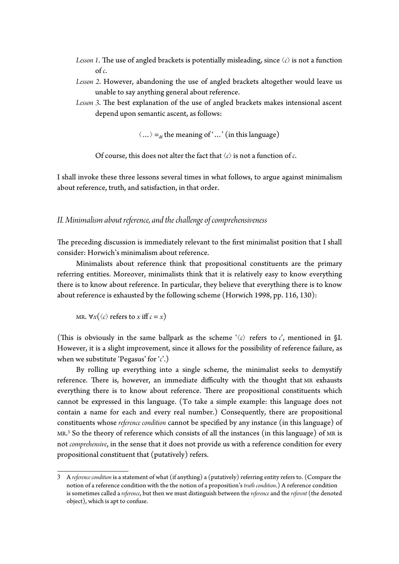- *Lesson 1*. The use of angled brackets is potentially misleading, since  $\langle c \rangle$  is not a function of *c*.
- *Lesson 2*. However, abandoning the use of angled brackets altogether would leave us unable to say anything general about reference.
- *Lesson 3*. The best explanation of the use of angled brackets makes intensional ascent depend upon semantic ascent, as follows:

 $\langle ... \rangle =_{df}$  the meaning of '…' (in this language)

Of course, this does not alter the fact that ⟨*c*⟩ is not a function of *c*.

I shall invoke these three lessons several times in what follows, to argue against minimalism about reference, truth, and satisfaction, in that order.

## *II. Minimalism about reference, and the challenge of comprehensiveness*

The preceding discussion is immediately relevant to the first minimalist position that I shall consider: Horwich's minimalism about reference.

Minimalists about reference think that propositional constituents are the primary referring entities. Moreover, minimalists think that it is relatively easy to know everything there is to know about reference. In particular, they believe that everything there is to know about reference is exhausted by the following scheme (Horwich 1998, pp. 116, 130):

MR.  $\forall x (\langle c \rangle \text{ refers to } x \text{ iff } c = x)$ 

(This is obviously in the same ballpark as the scheme ' $\langle c \rangle$  refers to *c*', mentioned in §I. However, it is a slight improvement, since it allows for the possibility of reference failure, as when we substitute 'Pegasus' for '*c*'.)

By rolling up everything into a single scheme, the minimalist seeks to demystify reference. There is, however, an immediate difficulty with the thought that MR exhausts everything there is to know about reference. There are propositional constituents which cannot be expressed in this language. (To take a simple example: this language does not contain a name for each and every real number.) Consequently, there are propositional constituents whose *reference condition* cannot be specifed by any instance (in this language) of MR. 3 So the theory of reference which consists of all the instances (in this language) of MR is not *comprehensive*, in the sense that it does not provide us with a reference condition for every propositional constituent that (putatively) refers.

<sup>3</sup> A *reference condition* is a statement of what (if anything) a (putatively) referring entity refers to. (Compare the notion of a reference condition with the the notion of a proposition's *truth condition*.) A reference condition is sometimes called a *reference*, but then we must distinguish between the *reference* and the *referent* (the denoted object), which is apt to confuse.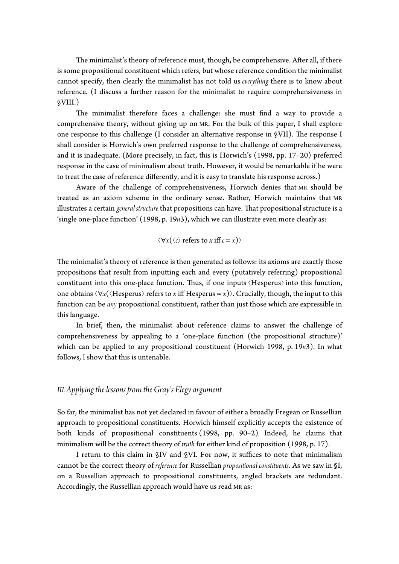The minimalist's theory of reference must, though, be comprehensive. After all, if there is some propositional constituent which refers, but whose reference condition the minimalist cannot specify, then clearly the minimalist has not told us *everything* there is to know about reference. (I discuss a further reason for the minimalist to require comprehensiveness in §VIII.)

The minimalist therefore faces a challenge: she must find a way to provide a comprehensive theory, without giving up on MR. For the bulk of this paper, I shall explore one response to this challenge  $(I \text{ consider an alternative response in } \mathcal{V}II)$ . The response I shall consider is Horwich's own preferred response to the challenge of comprehensiveness, and it is inadequate. (More precisely, in fact, this is Horwich's (1998, pp. 17–20) preferred response in the case of minimalism about truth. However, it would be remarkable if he were to treat the case of reference differently, and it is easy to translate his response across.)

Aware of the challenge of comprehensiveness, Horwich denies that MR should be treated as an axiom scheme in the ordinary sense. Rather, Horwich maintains that MR illustrates a certain *general structure* that propositions can have. That propositional structure is a 'single one-place function' (1998, p. 19*n*3), which we can illustrate even more clearly as:

$$
\langle \forall x (\langle c \rangle \text{ refers to } x \text{ iff } c = x) \rangle
$$

The minimalist's theory of reference is then generated as follows: its axioms are exactly those propositions that result from inputing each and every (putatively referring) propositional constituent into this one-place function. Thus, if one inputs  $\langle$  Hesperus $\rangle$  into this function, one obtains  $\langle \forall x (\langle \text{Hesperus} \rangle \text{ refers to } x \text{ iff Hesperus} = x) \rangle$ . Crucially, though, the input to this function can be *any* propositional constituent, rather than just those which are expressible in this language.

In brief, then, the minimalist about reference claims to answer the challenge of comprehensiveness by appealing to a 'one-place function (the propositional structure)' which can be applied to any propositional constituent (Horwich 1998, p. 19*n*3). In what follows, I show that this is untenable.

#### *III. Applying the lessons fom the Gray's Elegy argument*

So far, the minimalist has not yet declared in favour of either a broadly Fregean or Russellian approach to propositional constituents. Horwich himself explicitly accepts the existence of both kinds of propositional constituents (1998, pp. 90–2)*.* Indeed, he claims that minimalism will be the correct theory of *truth* for either kind of proposition (1998, p. 17).

I return to this claim in §IV and §VI. For now, it suffices to note that minimalism cannot be the correct theory of *reference* for Russellian *propositional constituents*. As we saw in §I, on a Russellian approach to propositional constituents, angled brackets are redundant. Accordingly, the Russellian approach would have us read MR as: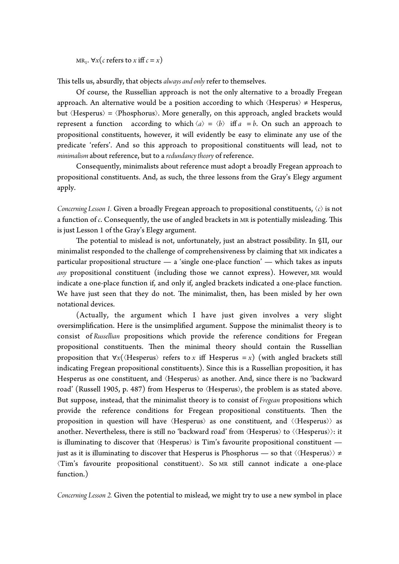MR<sub>1</sub>.  $\forall x (c \text{ refers to } x \text{ iff } c = x)$ 

This tells us, absurdly, that objects *always and only* refer to themselves.

Of course, the Russellian approach is not the only alternative to a broadly Fregean approach. An alternative would be a position according to which  $\langle$ Hesperus $\rangle \neq$  Hesperus, but  $\langle$ Hesperus $\rangle$  =  $\langle$ Phosphorus $\rangle$ . More generally, on this approach, angled brackets would represent a function according to which  $\langle a \rangle = \langle b \rangle$  iff  $a = b$ . On such an approach to propositional constituents, however, it will evidently be easy to eliminate any use of the predicate 'refers'. And so this approach to propositional constituents will lead, not to *minimalism* about reference, but to a *redundancy theory* of reference.

Consequently, minimalists about reference must adopt a broadly Fregean approach to propositional constituents. And, as such, the three lessons from the Gray's Elegy argument apply.

*Concerning Lesson 1.* Given a broadly Fregean approach to propositional constituents, ⟨*c*⟩ is not a function of *c*. Consequently, the use of angled brackets in MR is potentially misleading. This is just Lesson 1 of the Gray's Elegy argument.

The potential to mislead is not, unfortunately, just an abstract possibility. In §II, our minimalist responded to the challenge of comprehensiveness by claiming that MR indicates a particular propositional structure — a 'single one-place function' — which takes as inputs *any* propositional constituent (including those we cannot express). However, MR would indicate a one-place function if, and only if, angled brackets indicated a one-place function. We have just seen that they do not. The minimalist, then, has been misled by her own notational devices.

(Actually, the argument which I have just given involves a very slight oversimplifcation. Here is the unsimplifed argument. Suppose the minimalist theory is to consist of *Russellian* propositions which provide the reference conditions for Fregean propositional constituents. Then the minimal theory should contain the Russellian proposition that  $\forall x (\langle \text{Hesperus} \rangle \text{ refers to } x \text{ iff } \text{Hesperus } = x)$  (with angled brackets still indicating Fregean propositional constituents). Since this is a Russellian proposition, it has Hesperus as one constituent, and  $\langle$ Hesperus $\rangle$  as another. And, since there is no 'backward road' (Russell 1905, p. 487) from Hesperus to  $\langle$ Hesperus $\rangle$ , the problem is as stated above. But suppose, instead, that the minimalist theory is to consist of *Fregean* propositions which provide the reference conditions for Fregean propositional constituents. Then the proposition in question will have ⟨Hesperus⟩ as one constituent, and ⟨⟨Hesperus⟩⟩ as another. Nevertheless, there is still no 'backward road' from  $\langle$ Hesperus $\rangle$  to  $\langle$  $\langle$ Hesperus $\rangle$  $\rangle$ : it is illuminating to discover that  $\langle$ Hesperus $\rangle$  is Tim's favourite propositional constituent just as it is illuminating to discover that Hesperus is Phosphorus — so that  $\langle\langle$ Hesperus $\rangle\rangle \neq$ ⟨Tim's favourite propositional constituent⟩. So MR still cannot indicate a one-place function.)

*Concerning Lesson 2.* Given the potential to mislead, we might try to use a new symbol in place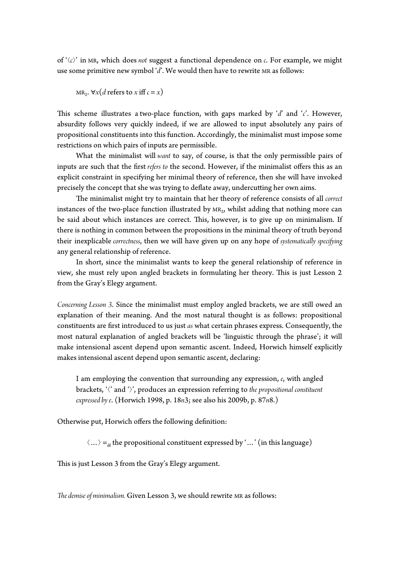of '⟨*c*⟩' in MR, which does *not* suggest a functional dependence on *c*. For example, we might use some primitive new symbol '*d*'. We would then have to rewrite MR as follows:

MR<sub>2</sub>.  $\forall x (d \text{ refers to } x \text{ iff } c = x)$ 

This scheme illustrates a two-place function, with gaps marked by 'd' and 'c'. However, absurdity follows very quickly indeed, if we are allowed to input absolutely any pairs of propositional constituents into this function. Accordingly, the minimalist must impose some restrictions on which pairs of inputs are permissible.

What the minimalist will *want* to say, of course, is that the only permissible pairs of inputs are such that the frst *refers to* the second. However, if the minimalist offers this as an explicit constraint in specifying her minimal theory of reference, then she will have invoked precisely the concept that she was trying to defate away, undercuting her own aims.

The minimalist might try to maintain that her theory of reference consists of all *correct* instances of the two-place function illustrated by MR<sub>2</sub>, whilst adding that nothing more can be said about which instances are correct. This, however, is to give up on minimalism. If there is nothing in common between the propositions in the minimal theory of truth beyond their inexplicable *correctness*, then we will have given up on any hope of *systematically specifying* any general relationship of reference.

In short, since the minimalist wants to keep the general relationship of reference in view, she must rely upon angled brackets in formulating her theory. This is just Lesson 2 from the Gray's Elegy argument.

*Concerning Lesson 3*. Since the minimalist must employ angled brackets, we are still owed an explanation of their meaning. And the most natural thought is as follows: propositional constituents are frst introduced to us just *as* what certain phrases express. Consequently, the most natural explanation of angled brackets will be 'linguistic through the phrase'; it will make intensional ascent depend upon semantic ascent. Indeed, Horwich himself explicitly makes intensional ascent depend upon semantic ascent, declaring:

I am employing the convention that surrounding any expression, *e*, with angled brackets, '⟨' and '⟩', produces an expression referring to *the propositional constituent expressed by e*. (Horwich 1998, p. 18*n*3; see also his 2009b, p. 87*n*8.)

Otherwise put, Horwich offers the following defnition:

 $\langle ... \rangle =_{\text{df}}$  the propositional constituent expressed by '...' (in this language)

This is just Lesson 3 from the Gray's Elegy argument.

*Te demise of minimalism.* Given Lesson 3, we should rewrite MR as follows: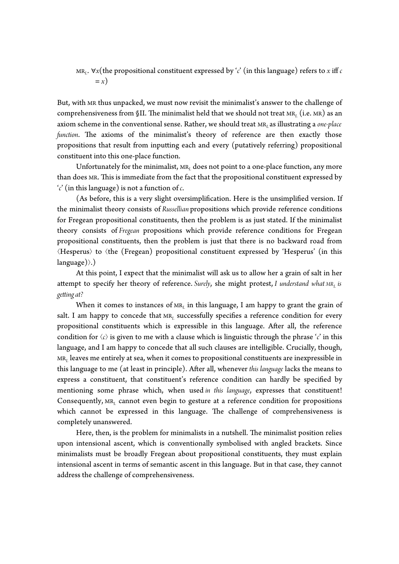MR<sub>L</sub>.  $\forall x$ (the propositional constituent expressed by '*c*' (in this language) refers to *x* iff *c*  $= x$ 

But, with MR thus unpacked, we must now revisit the minimalist's answer to the challenge of comprehensiveness from §II. The minimalist held that we should not treat MR<sub>L</sub> (i.e. MR) as an axiom scheme in the conventional sense. Rather, we should treat MR*L* as illustrating a *one-place function*. The axioms of the minimalist's theory of reference are then exactly those propositions that result from inputing each and every (putatively referring) propositional constituent into this one-place function.

Unfortunately for the minimalist, MR<sub>L</sub> does not point to a one-place function, any more than does MR. This is immediate from the fact that the propositional constituent expressed by '*c*' (in this language) is not a function of *c*.

(As before, this is a very slight oversimplifcation. Here is the unsimplifed version. If the minimalist theory consists of *Russellian* propositions which provide reference conditions for Fregean propositional constituents, then the problem is as just stated. If the minimalist theory consists of *Fregean* propositions which provide reference conditions for Fregean propositional constituents, then the problem is just that there is no backward road from ⟨Hesperus⟩ to ⟨the (Fregean) propositional constituent expressed by 'Hesperus' (in this language)⟩.)

At this point, I expect that the minimalist will ask us to allow her a grain of salt in her attempt to specify her theory of reference. *Surely*, she might protest, *I understand what*  $MR<sub>L</sub>$  *is geting at?*

When it comes to instances of MR<sub>L</sub> in this language, I am happy to grant the grain of salt. I am happy to concede that MR<sub>L</sub> successfully specifies a reference condition for every propositional constituents which is expressible in this language. After all, the reference condition for ⟨*c*⟩ is given to me with a clause which is linguistic through the phrase '*c*' in this language, and I am happy to concede that all such clauses are intelligible. Crucially, though, MR*L* leaves me entirely at sea, when it comes to propositional constituents are inexpressible in this language to me (at least in principle). Afer all, whenever *this language* lacks the means to express a constituent, that constituent's reference condition can hardly be specifed by mentioning some phrase which, when used *in this language*, expresses that constituent! Consequently, MR<sub>L</sub> cannot even begin to gesture at a reference condition for propositions which cannot be expressed in this language. The challenge of comprehensiveness is completely unanswered.

Here, then, is the problem for minimalists in a nutshell. The minimalist position relies upon intensional ascent, which is conventionally symbolised with angled brackets. Since minimalists must be broadly Fregean about propositional constituents, they must explain intensional ascent in terms of semantic ascent in this language. But in that case, they cannot address the challenge of comprehensiveness.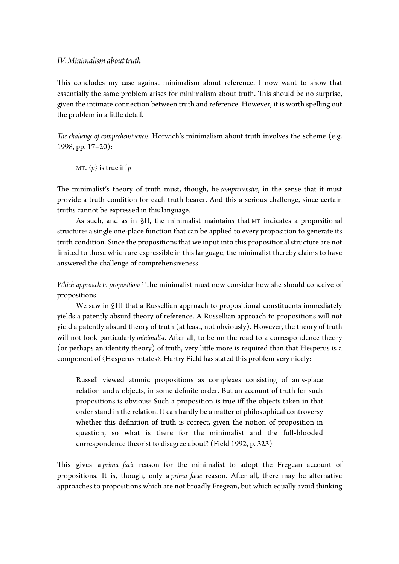#### *IV. Minimalism about truth*

This concludes my case against minimalism about reference. I now want to show that essentially the same problem arises for minimalism about truth. This should be no surprise, given the intimate connection between truth and reference. However, it is worth spelling out the problem in a litle detail.

*Te challenge of comprehensiveness.* Horwich's minimalism about truth involves the scheme (e.g. 1998, pp. 17–20):

MT.  $\langle p \rangle$  is true iff *p* 

The minimalist's theory of truth must, though, be *comprehensive*, in the sense that it must provide a truth condition for each truth bearer. And this a serious challenge, since certain truths cannot be expressed in this language.

As such, and as in §II, the minimalist maintains that MT indicates a propositional structure: a single one-place function that can be applied to every proposition to generate its truth condition. Since the propositions that we input into this propositional structure are not limited to those which are expressible in this language, the minimalist thereby claims to have answered the challenge of comprehensiveness.

*Which approach to propositions?* The minimalist must now consider how she should conceive of propositions.

We saw in §III that a Russellian approach to propositional constituents immediately yields a patently absurd theory of reference. A Russellian approach to propositions will not yield a patently absurd theory of truth (at least, not obviously). However, the theory of truth will not look particularly *minimalist*. Afer all, to be on the road to a correspondence theory (or perhaps an identity theory) of truth, very litle more is required than that Hesperus is a component of ⟨Hesperus rotates⟩. Hartry Field has stated this problem very nicely:

Russell viewed atomic propositions as complexes consisting of an *n*-place relation and *n* objects, in some defnite order. But an account of truth for such propositions is obvious: Such a proposition is true iff the objects taken in that order stand in the relation. It can hardly be a mater of philosophical controversy whether this defnition of truth is correct, given the notion of proposition in question, so what is there for the minimalist and the full-blooded correspondence theorist to disagree about? (Field 1992, p. 323)

This gives a *prima facie* reason for the minimalist to adopt the Fregean account of propositions. It is, though, only a *prima facie* reason. Afer all, there may be alternative approaches to propositions which are not broadly Fregean, but which equally avoid thinking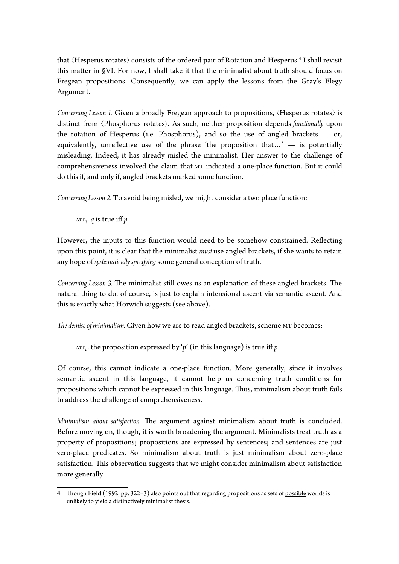that ⟨Hesperus rotates⟩ consists of the ordered pair of Rotation and Hesperus.4 I shall revisit this mater in §VI. For now, I shall take it that the minimalist about truth should focus on Fregean propositions. Consequently, we can apply the lessons from the Gray's Elegy Argument.

*Concerning Lesson 1.* Given a broadly Fregean approach to propositions, ⟨Hesperus rotates⟩ is distinct from ⟨Phosphorus rotates⟩. As such, neither proposition depends *functionally* upon the rotation of Hesperus (i.e. Phosphorus), and so the use of angled brackets — or, equivalently, unreflective use of the phrase 'the proposition that...'  $-$  is potentially misleading. Indeed, it has already misled the minimalist. Her answer to the challenge of comprehensiveness involved the claim that MT indicated a one-place function. But it could do this if, and only if, angled brackets marked some function.

*Concerning Lesson 2.* To avoid being misled, we might consider a two place function:

 $MT_2$ . *q* is true iff *p* 

However, the inputs to this function would need to be somehow constrained. Refecting upon this point, it is clear that the minimalist *must* use angled brackets, if she wants to retain any hope of *systematically specifying* some general conception of truth.

*Concerning Lesson 3.* The minimalist still owes us an explanation of these angled brackets. The natural thing to do, of course, is just to explain intensional ascent via semantic ascent. And this is exactly what Horwich suggests (see above).

*Te demise of minimalism.* Given how we are to read angled brackets, scheme MT becomes:

 $MT<sub>L</sub>$ . the proposition expressed by 'p' (in this language) is true iff  $p$ 

Of course, this cannot indicate a one-place function. More generally, since it involves semantic ascent in this language, it cannot help us concerning truth conditions for propositions which cannot be expressed in this language. Tus, minimalism about truth fails to address the challenge of comprehensiveness.

*Minimalism about satisfaction*. The argument against minimalism about truth is concluded. Before moving on, though, it is worth broadening the argument. Minimalists treat truth as a property of propositions; propositions are expressed by sentences; and sentences are just zero-place predicates. So minimalism about truth is just minimalism about zero-place satisfaction. This observation suggests that we might consider minimalism about satisfaction more generally.

<sup>4</sup> Though Field (1992, pp. 322-3) also points out that regarding propositions as sets of possible worlds is unlikely to yield a distinctively minimalist thesis.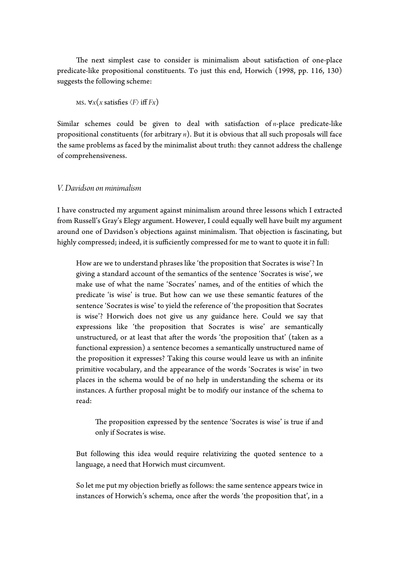The next simplest case to consider is minimalism about satisfaction of one-place predicate-like propositional constituents. To just this end, Horwich (1998, pp. 116, 130) suggests the following scheme:

MS. ∀*x*(*x* satisfes ⟨*F*⟩ iff *Fx*)

Similar schemes could be given to deal with satisfaction of *n*-place predicate-like propositional constituents (for arbitrary *n*). But it is obvious that all such proposals will face the same problems as faced by the minimalist about truth: they cannot address the challenge of comprehensiveness.

## *V. Davidson on minimalism*

I have constructed my argument against minimalism around three lessons which I extracted from Russell's Gray's Elegy argument. However, I could equally well have built my argument around one of Davidson's objections against minimalism. That objection is fascinating, but highly compressed; indeed, it is sufficiently compressed for me to want to quote it in full:

How are we to understand phrases like 'the proposition that Socrates is wise'? In giving a standard account of the semantics of the sentence 'Socrates is wise', we make use of what the name 'Socrates' names, and of the entities of which the predicate 'is wise' is true. But how can we use these semantic features of the sentence 'Socrates is wise' to yield the reference of 'the proposition that Socrates is wise'? Horwich does not give us any guidance here. Could we say that expressions like 'the proposition that Socrates is wise' are semantically unstructured, or at least that afer the words 'the proposition that' (taken as a functional expression) a sentence becomes a semantically unstructured name of the proposition it expresses? Taking this course would leave us with an infnite primitive vocabulary, and the appearance of the words 'Socrates is wise' in two places in the schema would be of no help in understanding the schema or its instances. A further proposal might be to modify our instance of the schema to read:

The proposition expressed by the sentence 'Socrates is wise' is true if and only if Socrates is wise.

But following this idea would require relativizing the quoted sentence to a language, a need that Horwich must circumvent.

So let me put my objection briefy as follows: the same sentence appears twice in instances of Horwich's schema, once afer the words 'the proposition that', in a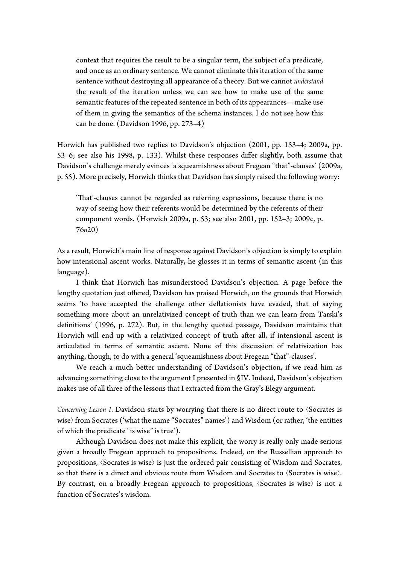context that requires the result to be a singular term, the subject of a predicate, and once as an ordinary sentence. We cannot eliminate this iteration of the same sentence without destroying all appearance of a theory. But we cannot *understand* the result of the iteration unless we can see how to make use of the same semantic features of the repeated sentence in both of its appearances—make use of them in giving the semantics of the schema instances. I do not see how this can be done. (Davidson 1996, pp. 273–4)

Horwich has published two replies to Davidson's objection (2001, pp. 153–4; 2009a, pp. 53–6; see also his 1998, p. 133). Whilst these responses differ slightly, both assume that Davidson's challenge merely evinces 'a squeamishness about Fregean "that"-clauses' (2009a, p. 55). More precisely, Horwich thinks that Davidson has simply raised the following worry:

'Tat'-clauses cannot be regarded as referring expressions, because there is no way of seeing how their referents would be determined by the referents of their component words. (Horwich 2009a, p. 53; see also 2001, pp. 152–3; 2009c, p. 76*n*20)

As a result, Horwich's main line of response against Davidson's objection is simply to explain how intensional ascent works. Naturally, he glosses it in terms of semantic ascent (in this language).

I think that Horwich has misunderstood Davidson's objection. A page before the lengthy quotation just offered, Davidson has praised Horwich, on the grounds that Horwich seems 'to have accepted the challenge other defationists have evaded, that of saying something more about an unrelativized concept of truth than we can learn from Tarski's defnitions' (1996, p. 272). But, in the lengthy quoted passage, Davidson maintains that Horwich will end up with a relativized concept of truth after all, if intensional ascent is articulated in terms of semantic ascent. None of this discussion of relativization has anything, though, to do with a general 'squeamishness about Fregean "that"-clauses'.

We reach a much better understanding of Davidson's objection, if we read him as advancing something close to the argument I presented in §IV. Indeed, Davidson's objection makes use of all three of the lessons that I extracted from the Gray's Elegy argument.

*Concerning Lesson 1.* Davidson starts by worrying that there is no direct route to  $\langle$ Socrates is wise⟩ from Socrates ('what the name "Socrates" names') and Wisdom (or rather, 'the entities of which the predicate "is wise" is true').

Although Davidson does not make this explicit, the worry is really only made serious given a broadly Fregean approach to propositions. Indeed, on the Russellian approach to propositions, ⟨Socrates is wise⟩ is just the ordered pair consisting of Wisdom and Socrates, so that there is a direct and obvious route from Wisdom and Socrates to ⟨Socrates is wise⟩. By contrast, on a broadly Fregean approach to propositions, ⟨Socrates is wise⟩ is not a function of Socrates's wisdom.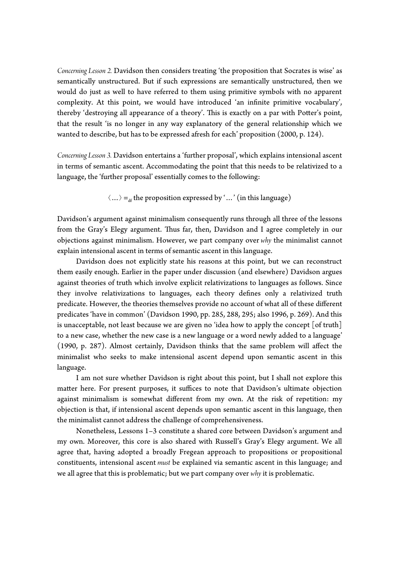*Concerning Lesson 2.* Davidson then considers treating 'the proposition that Socrates is wise' as semantically unstructured. But if such expressions are semantically unstructured, then we would do just as well to have referred to them using primitive symbols with no apparent complexity. At this point, we would have introduced 'an infnite primitive vocabulary', thereby 'destroying all appearance of a theory'. This is exactly on a par with Potter's point, that the result 'is no longer in any way explanatory of the general relationship which we wanted to describe, but has to be expressed afresh for each' proposition (2000, p. 124).

*Concerning Lesson 3.* Davidson entertains a 'further proposal', which explains intensional ascent in terms of semantic ascent. Accommodating the point that this needs to be relativized to a language, the 'further proposal' essentially comes to the following:

 $\langle ... \rangle =_{\mathcal{A}f}$  the proposition expressed by '…' (in this language)

Davidson's argument against minimalism consequently runs through all three of the lessons from the Gray's Elegy argument. Thus far, then, Davidson and I agree completely in our objections against minimalism. However, we part company over *why* the minimalist cannot explain intensional ascent in terms of semantic ascent in this language.

Davidson does not explicitly state his reasons at this point, but we can reconstruct them easily enough. Earlier in the paper under discussion (and elsewhere) Davidson argues against theories of truth which involve explicit relativizations to languages as follows. Since they involve relativizations to languages, each theory defnes only a relativized truth predicate. However, the theories themselves provide no account of what all of these different predicates 'have in common' (Davidson 1990, pp. 285, 288, 295; also 1996, p. 269). And this is unacceptable, not least because we are given no 'idea how to apply the concept  $\lceil$  of truth $\rceil$ to a new case, whether the new case is a new language or a word newly added to a language' (1990, p. 287). Almost certainly, Davidson thinks that the same problem will affect the minimalist who seeks to make intensional ascent depend upon semantic ascent in this language.

I am not sure whether Davidson is right about this point, but I shall not explore this mater here. For present purposes, it suffices to note that Davidson's ultimate objection against minimalism is somewhat different from my own. At the risk of repetition: my objection is that, if intensional ascent depends upon semantic ascent in this language, then the minimalist cannot address the challenge of comprehensiveness.

Nonetheless, Lessons 1–3 constitute a shared core between Davidson's argument and my own. Moreover, this core is also shared with Russell's Gray's Elegy argument. We all agree that, having adopted a broadly Fregean approach to propositions or propositional constituents, intensional ascent *must* be explained via semantic ascent in this language; and we all agree that this is problematic; but we part company over *why* it is problematic.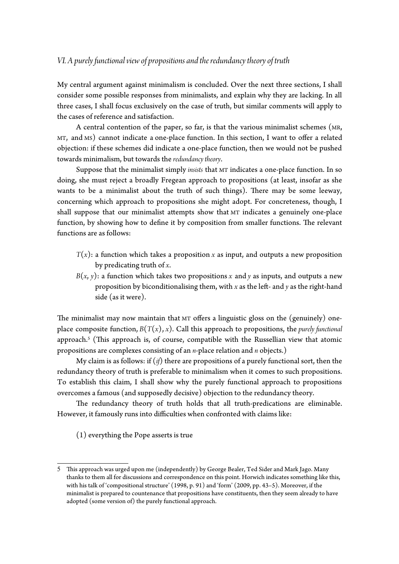My central argument against minimalism is concluded. Over the next three sections, I shall consider some possible responses from minimalists, and explain why they are lacking. In all three cases, I shall focus exclusively on the case of truth, but similar comments will apply to the cases of reference and satisfaction.

A central contention of the paper, so far, is that the various minimalist schemes (MR, MT, and MS) cannot indicate a one-place function. In this section, I want to offer a related objection: if these schemes did indicate a one-place function, then we would not be pushed towards minimalism, but towards the *redundancy theory*.

Suppose that the minimalist simply *insists* that MT indicates a one-place function. In so doing, she must reject a broadly Fregean approach to propositions (at least, insofar as she wants to be a minimalist about the truth of such things). There may be some leeway, concerning which approach to propositions she might adopt. For concreteness, though, I shall suppose that our minimalist atempts show that MT indicates a genuinely one-place function, by showing how to define it by composition from smaller functions. The relevant functions are as follows:

- $T(x)$ : a function which takes a proposition *x* as input, and outputs a new proposition by predicating truth of *x*.
- $B(x, y)$ : a function which takes two propositions *x* and *y* as inputs, and outputs a new proposition by biconditionalising them, with  $x$  as the left- and  $y$  as the right-hand side (as it were).

The minimalist may now maintain that MT offers a linguistic gloss on the (genuinely) oneplace composite function,  $B(T(x), x)$ . Call this approach to propositions, the *purely functional* approach.<sup>s</sup> (This approach is, of course, compatible with the Russellian view that atomic propositions are complexes consisting of an *n*-place relation and *n* objects.)

My claim is as follows: if (*if*) there are propositions of a purely functional sort, then the redundancy theory of truth is preferable to minimalism when it comes to such propositions. To establish this claim, I shall show why the purely functional approach to propositions overcomes a famous (and supposedly decisive) objection to the redundancy theory.

The redundancy theory of truth holds that all truth-predications are eliminable. However, it famously runs into difficulties when confronted with claims like:

(1) everything the Pope asserts is true

<sup>5</sup> Tis approach was urged upon me (independently) by George Bealer, Ted Sider and Mark Jago. Many thanks to them all for discussions and correspondence on this point. Horwich indicates something like this, with his talk of 'compositional structure' (1998, p. 91) and 'form' (2009, pp. 43–5). Moreover, if the minimalist is prepared to countenance that propositions have constituents, then they seem already to have adopted (some version of) the purely functional approach.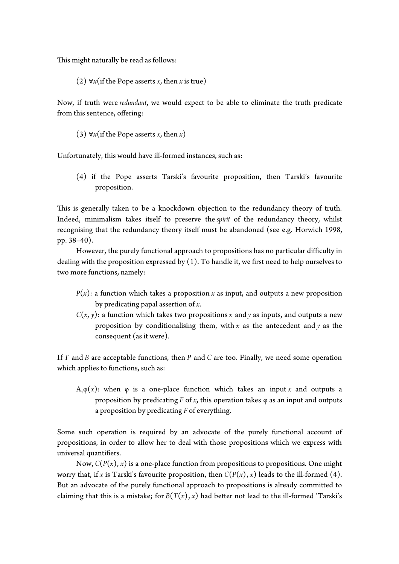This might naturally be read as follows:

(2) ∀*x*(if the Pope asserts *x*, then *x* is true)

Now, if truth were *redundant*, we would expect to be able to eliminate the truth predicate from this sentence, offering:

(3) ∀*x*(if the Pope asserts *x*, then *x*)

Unfortunately, this would have ill-formed instances, such as:

(4) if the Pope asserts Tarski's favourite proposition, then Tarski's favourite proposition.

This is generally taken to be a knockdown objection to the redundancy theory of truth. Indeed, minimalism takes itself to preserve the *spirit* of the redundancy theory, whilst recognising that the redundancy theory itself must be abandoned (see e.g. Horwich 1998, pp. 38–40).

However, the purely functional approach to propositions has no particular difficulty in dealing with the proposition expressed by  $(1)$ . To handle it, we first need to help ourselves to two more functions, namely:

- $P(x)$ : a function which takes a proposition *x* as input, and outputs a new proposition by predicating papal assertion of *x*.
- $C(x, y)$ : a function which takes two propositions *x* and *y* as inputs, and outputs a new proposition by conditionalising them, with  $x$  as the antecedent and  $y$  as the consequent (as it were).

If *T* and *B* are acceptable functions, then *P* and *C* are too. Finally, we need some operation which applies to functions, such as:

A<sub>x</sub> $\varphi(x)$ : when  $\varphi$  is a one-place function which takes an input *x* and outputs a proposition by predicating *F* of *x*, this operation takes φ as an input and outputs a proposition by predicating *F* of everything.

Some such operation is required by an advocate of the purely functional account of propositions, in order to allow her to deal with those propositions which we express with universal quantifers.

Now,  $C(P(x), x)$  is a one-place function from propositions to propositions. One might worry that, if *x* is Tarski's favourite proposition, then  $C(P(x), x)$  leads to the ill-formed (4). But an advocate of the purely functional approach to propositions is already commited to claiming that this is a mistake; for  $B(T(x), x)$  had better not lead to the ill-formed 'Tarski's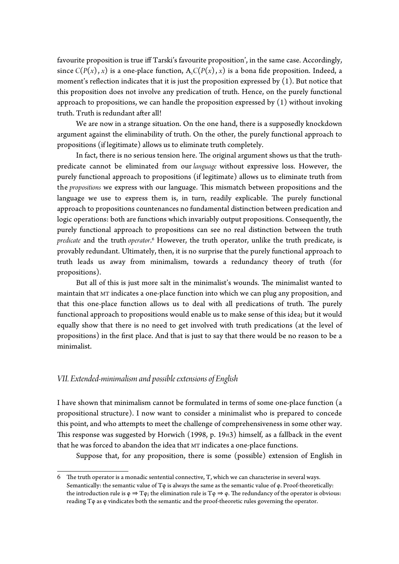favourite proposition is true iff Tarski's favourite proposition', in the same case. Accordingly, since  $C(P(x), x)$  is a one-place function,  $A C(P(x), x)$  is a bona fide proposition. Indeed, a moment's reflection indicates that it is just the proposition expressed by  $(1)$ . But notice that this proposition does not involve any predication of truth. Hence, on the purely functional approach to propositions, we can handle the proposition expressed by  $(1)$  without invoking truth. Truth is redundant after all!

We are now in a strange situation. On the one hand, there is a supposedly knockdown argument against the eliminability of truth. On the other, the purely functional approach to propositions (if legitimate) allows us to eliminate truth completely.

In fact, there is no serious tension here. The original argument shows us that the truthpredicate cannot be eliminated from our *language* without expressive loss. However, the purely functional approach to propositions (if legitimate) allows us to eliminate truth from the *propositions* we express with our language. Tis mismatch between propositions and the language we use to express them is, in turn, readily explicable. The purely functional approach to propositions countenances no fundamental distinction between predication and logic operations: both are functions which invariably output propositions. Consequently, the purely functional approach to propositions can see no real distinction between the truth *predicate* and the truth*operator*.6 However, the truth operator, unlike the truth predicate, is provably redundant. Ultimately, then, it is no surprise that the purely functional approach to truth leads us away from minimalism, towards a redundancy theory of truth (for propositions).

But all of this is just more salt in the minimalist's wounds. The minimalist wanted to maintain that MT indicates a one-place function into which we can plug any proposition, and that this one-place function allows us to deal with all predications of truth. The purely functional approach to propositions would enable us to make sense of this idea; but it would equally show that there is no need to get involved with truth predications (at the level of propositions) in the frst place. And that is just to say that there would be no reason to be a minimalist.

## *VII. Extended-minimalism and possible extensions of English*

I have shown that minimalism cannot be formulated in terms of some one-place function (a propositional structure). I now want to consider a minimalist who is prepared to concede this point, and who atempts to meet the challenge of comprehensiveness in some other way. This response was suggested by Horwich (1998, p. 19n3) himself, as a fallback in the event that he was forced to abandon the idea that MT indicates a one-place functions.

Suppose that, for any proposition, there is some (possible) extension of English in

 $6$  The truth operator is a monadic sentential connective, T, which we can characterise in several ways. Semantically: the semantic value of T $\varphi$  is always the same as the semantic value of  $\varphi$ . Proof-theoretically: the introduction rule is  $\varphi \Rightarrow T\varphi$ ; the elimination rule is  $T\varphi \Rightarrow \varphi$ . The redundancy of the operator is obvious: reading Tφ as φ vindicates both the semantic and the proof-theoretic rules governing the operator.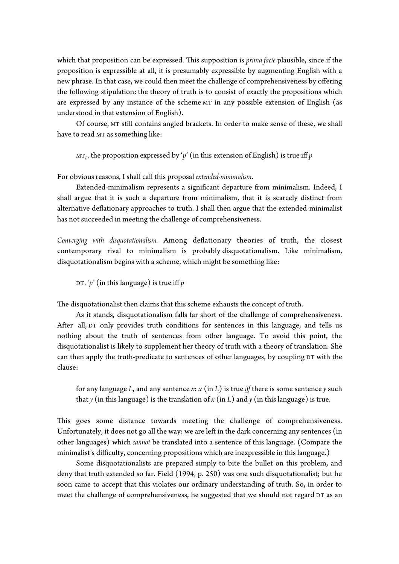which that proposition can be expressed. This supposition is *prima facie* plausible, since if the proposition is expressible at all, it is presumably expressible by augmenting English with a new phrase. In that case, we could then meet the challenge of comprehensiveness by offering the following stipulation: the theory of truth is to consist of exactly the propositions which are expressed by any instance of the scheme MT in any possible extension of English (as understood in that extension of English).

Of course, MT still contains angled brackets. In order to make sense of these, we shall have to read MT as something like:

 $MT_F$ . the proposition expressed by 'p' (in this extension of English) is true iff *p* 

For obvious reasons, I shall call this proposal *extended-minimalism*.

Extended-minimalism represents a signifcant departure from minimalism. Indeed, I shall argue that it is such a departure from minimalism, that it is scarcely distinct from alternative defationary approaches to truth. I shall then argue that the extended-minimalist has not succeeded in meeting the challenge of comprehensiveness.

*Converging with disquotationalism.* Among defationary theories of truth, the closest contemporary rival to minimalism is probably disquotationalism. Like minimalism, disquotationalism begins with a scheme, which might be something like:

DT. '*p*' (in this language) is true iff *p*

The disquotationalist then claims that this scheme exhausts the concept of truth.

As it stands, disquotationalism falls far short of the challenge of comprehensiveness. Afer all, DT only provides truth conditions for sentences in this language, and tells us nothing about the truth of sentences from other language. To avoid this point, the disquotationalist is likely to supplement her theory of truth with a theory of translation. She can then apply the truth-predicate to sentences of other languages, by coupling DT with the clause:

for any language *L*, and any sentence *x*: *x* (in *L*) is true *iff* there is some sentence *y* such that *y* (in this language) is the translation of *x* (in *L*) and *y* (in this language) is true.

This goes some distance towards meeting the challenge of comprehensiveness. Unfortunately, it does not go all the way: we are left in the dark concerning any sentences (in other languages) which *cannot* be translated into a sentence of this language. (Compare the minimalist's difficulty, concerning propositions which are inexpressible in this language.)

Some disquotationalists are prepared simply to bite the bullet on this problem, and deny that truth extended so far. Field (1994, p. 250) was one such disquotationalist; but he soon came to accept that this violates our ordinary understanding of truth. So, in order to meet the challenge of comprehensiveness, he suggested that we should not regard DT as an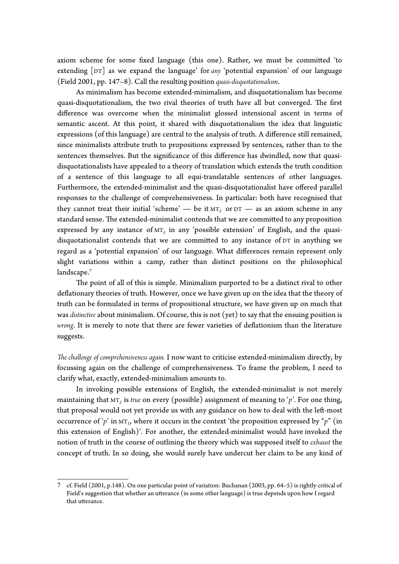axiom scheme for some fxed language (this one). Rather, we must be commited 'to extending [DT] as we expand the language' for *any* 'potential expansion' of our language (Field 2001, pp. 147–8). Call the resulting position *quasi-disquotationalism*.

As minimalism has become extended-minimalism, and disquotationalism has become quasi-disquotationalism, the two rival theories of truth have all but converged. The first difference was overcome when the minimalist glossed intensional ascent in terms of semantic ascent. At this point, it shared with disquotationalism the idea that linguistic expressions (of this language) are central to the analysis of truth. A difference still remained, since minimalists atribute truth to propositions expressed by sentences, rather than to the sentences themselves. But the signifcance of this difference has dwindled, now that quasidisquotationalists have appealed to a theory of translation which extends the truth condition of a sentence of this language to all equi-translatable sentences of other languages. Furthermore, the extended-minimalist and the quasi-disquotationalist have offered parallel responses to the challenge of comprehensiveness. In particular: both have recognised that they cannot treat their initial 'scheme' — be it  $MT<sub>E</sub>$  or  $DT$  — as an axiom scheme in any standard sense. The extended-minimalist contends that we are committed to any proposition expressed by any instance of  $MT_E$  in any 'possible extension' of English, and the quasidisquotationalist contends that we are commited to any instance of DT in anything we regard as a 'potential expansion' of our language. What differences remain represent only slight variations within a camp, rather than distinct positions on the philosophical landscape.<sup>7</sup>

The point of all of this is simple. Minimalism purported to be a distinct rival to other defationary theories of truth. However, once we have given up on the idea that the theory of truth can be formulated in terms of propositional structure, we have given up on much that was *distinctive* about minimalism. Of course, this is not (yet) to say that the ensuing position is *wrong*. It is merely to note that there are fewer varieties of defationism than the literature suggests.

*Te challenge of comprehensiveness again.* I now want to criticise extended-minimalism directly, by focussing again on the challenge of comprehensiveness. To frame the problem, I need to clarify what, exactly, extended-minimalism amounts to.

In invoking possible extensions of English, the extended-minimalist is not merely maintaining that MT*E* is *true* on every (possible) assignment of meaning to '*p*'. For one thing, that proposal would not yet provide us with any guidance on how to deal with the left-most occurrence of '*p*' in  $MT_F$ , where it occurs in the context 'the proposition expressed by "*p*" (in this extension of English)'. For another, the extended-minimalist would have invoked the notion of truth in the course of outlining the theory which was supposed itself to *exhaust* the concept of truth. In so doing, she would surely have undercut her claim to be any kind of

<sup>7</sup> cf. Field (2001, p.148). On one particular point of variation: Buchanan (2003, pp. 64–5) is rightly critical of Field's suggestion that whether an uterance (in some other language) is true depends upon how I regard that utterance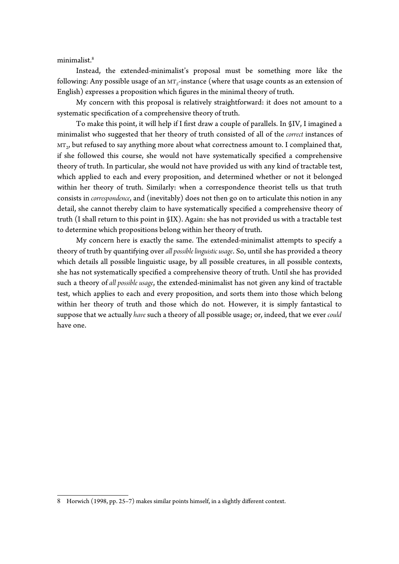minimalist.8

Instead, the extended-minimalist's proposal must be something more like the following: Any possible usage of an  $MT_F$ -instance (where that usage counts as an extension of English) expresses a proposition which fgures in the minimal theory of truth.

My concern with this proposal is relatively straightforward: it does not amount to a systematic specifcation of a comprehensive theory of truth.

To make this point, it will help if I frst draw a couple of parallels. In §IV, I imagined a minimalist who suggested that her theory of truth consisted of all of the *correct* instances of MT<sub>2</sub>, but refused to say anything more about what correctness amount to. I complained that, if she followed this course, she would not have systematically specifed a comprehensive theory of truth. In particular, she would not have provided us with any kind of tractable test, which applied to each and every proposition, and determined whether or not it belonged within her theory of truth. Similarly: when a correspondence theorist tells us that truth consists in *correspondence*, and (inevitably) does not then go on to articulate this notion in any detail, she cannot thereby claim to have systematically specifed a comprehensive theory of truth (I shall return to this point in §IX). Again: she has not provided us with a tractable test to determine which propositions belong within her theory of truth.

My concern here is exactly the same. The extended-minimalist attempts to specify a theory of truth by quantifying over *all possible linguistic usage*. So, until she has provided a theory which details all possible linguistic usage, by all possible creatures, in all possible contexts, she has not systematically specifed a comprehensive theory of truth. Until she has provided such a theory of *all possible usage*, the extended-minimalist has not given any kind of tractable test, which applies to each and every proposition, and sorts them into those which belong within her theory of truth and those which do not. However, it is simply fantastical to suppose that we actually *have* such a theory of all possible usage; or, indeed, that we ever *could* have one.

<sup>8</sup> Horwich (1998, pp. 25–7) makes similar points himself, in a slightly different context.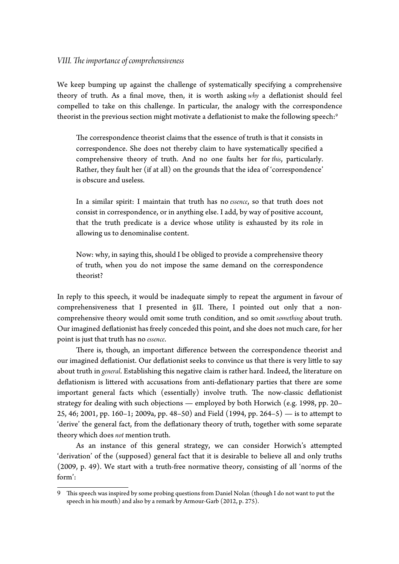#### *VIII. Te importance of comprehensiveness*

We keep bumping up against the challenge of systematically specifying a comprehensive theory of truth. As a fnal move, then, it is worth asking *why* a defationist should feel compelled to take on this challenge. In particular, the analogy with the correspondence theorist in the previous section might motivate a deflationist to make the following speech:<sup>9</sup>

The correspondence theorist claims that the essence of truth is that it consists in correspondence. She does not thereby claim to have systematically specifed a comprehensive theory of truth. And no one faults her for *this*, particularly. Rather, they fault her (if at all) on the grounds that the idea of 'correspondence' is obscure and useless.

In a similar spirit: I maintain that truth has no *essence*, so that truth does not consist in correspondence, or in anything else. I add, by way of positive account, that the truth predicate is a device whose utility is exhausted by its role in allowing us to denominalise content.

Now: why, in saying this, should I be obliged to provide a comprehensive theory of truth, when you do not impose the same demand on the correspondence theorist?

In reply to this speech, it would be inadequate simply to repeat the argument in favour of comprehensiveness that I presented in §II. There, I pointed out only that a noncomprehensive theory would omit some truth condition, and so omit *something* about truth. Our imagined defationist has freely conceded this point, and she does not much care, for her point is just that truth has no *essence*.

There is, though, an important difference between the correspondence theorist and our imagined defationist. Our defationist seeks to convince us that there is very litle to say about truth in *general*. Establishing this negative claim is rather hard. Indeed, the literature on defationism is litered with accusations from anti-defationary parties that there are some important general facts which (essentially) involve truth. The now-classic deflationist strategy for dealing with such objections — employed by both Horwich (e.g. 1998, pp. 20– 25, 46; 2001, pp. 160–1; 2009a, pp. 48–50) and Field (1994, pp. 264–5) — is to atempt to 'derive' the general fact, from the defationary theory of truth, together with some separate theory which does *not* mention truth.

As an instance of this general strategy, we can consider Horwich's atempted 'derivation' of the (supposed) general fact that it is desirable to believe all and only truths (2009, p. 49). We start with a truth-free normative theory, consisting of all 'norms of the form':

<sup>9</sup> Tis speech was inspired by some probing questions from Daniel Nolan (though I do not want to put the speech in his mouth) and also by a remark by Armour-Garb (2012, p. 275).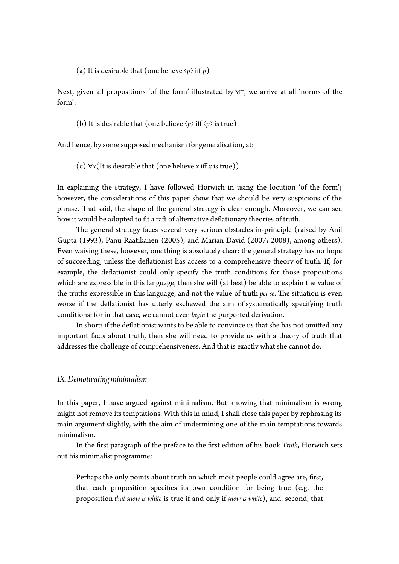(a) It is desirable that (one believe  $\langle p \rangle$  iff *p*)

Next, given all propositions 'of the form' illustrated by MT, we arrive at all 'norms of the form':

(b) It is desirable that (one believe  $\langle p \rangle$  iff  $\langle p \rangle$  is true)

And hence, by some supposed mechanism for generalisation, at:

(c) ∀*x*(It is desirable that (one believe *x* iff *x* is true))

In explaining the strategy, I have followed Horwich in using the locution 'of the form'; however, the considerations of this paper show that we should be very suspicious of the phrase. That said, the shape of the general strategy is clear enough. Moreover, we can see how it would be adopted to fit a raft of alternative deflationary theories of truth.

The general strategy faces several very serious obstacles in-principle (raised by Anil Gupta (1993), Panu Raatikanen (2005), and Marian David (2007; 2008), among others). Even waiving these, however, one thing is absolutely clear: the general strategy has no hope of succeeding, unless the defationist has access to a comprehensive theory of truth. If, for example, the defationist could only specify the truth conditions for those propositions which are expressible in this language, then she will (at best) be able to explain the value of the truths expressible in this language, and not the value of truth *per se*. The situation is even worse if the defationist has uterly eschewed the aim of systematically specifying truth conditions; for in that case, we cannot even *begin* the purported derivation.

In short: if the defationist wants to be able to convince us that she has not omited any important facts about truth, then she will need to provide us with a theory of truth that addresses the challenge of comprehensiveness. And that is exactly what she cannot do.

#### *IX. Demotivating minimalism*

In this paper, I have argued against minimalism. But knowing that minimalism is wrong might not remove its temptations. With this in mind, I shall close this paper by rephrasing its main argument slightly, with the aim of undermining one of the main temptations towards minimalism.

In the frst paragraph of the preface to the frst edition of his book *Truth*, Horwich sets out his minimalist programme:

Perhaps the only points about truth on which most people could agree are, frst, that each proposition specifes its own condition for being true (e.g. the proposition *that snow is white* is true if and only if *snow is white*), and, second, that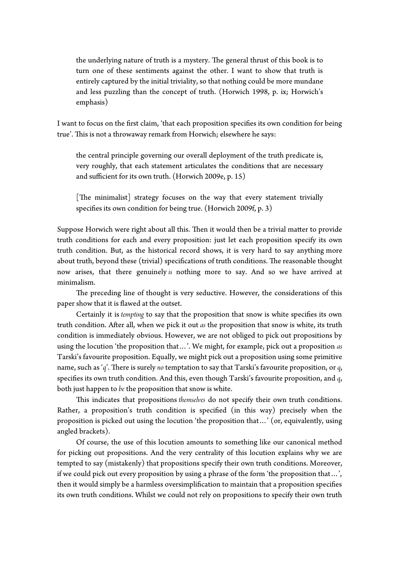the underlying nature of truth is a mystery. The general thrust of this book is to turn one of these sentiments against the other. I want to show that truth is entirely captured by the initial triviality, so that nothing could be more mundane and less puzzling than the concept of truth. (Horwich 1998, p. ix; Horwich's emphasis)

I want to focus on the frst claim, 'that each proposition specifes its own condition for being true'. This is not a throwaway remark from Horwich; elsewhere he says:

the central principle governing our overall deployment of the truth predicate is, very roughly, that each statement articulates the conditions that are necessary and sufficient for its own truth. (Horwich 2009e, p. 15)

 $[The minimalist] strategy focuses on the way that every statement trivially$ specifes its own condition for being true. (Horwich 2009f, p. 3)

Suppose Horwich were right about all this. Then it would then be a trivial matter to provide truth conditions for each and every proposition: just let each proposition specify its own truth condition. But, as the historical record shows, it is very hard to say anything more about truth, beyond these (trivial) specifications of truth conditions. The reasonable thought now arises, that there genuinely *is* nothing more to say. And so we have arrived at minimalism.

The preceding line of thought is very seductive. However, the considerations of this paper show that it is fawed at the outset.

Certainly it is *tempting* to say that the proposition that snow is white specifes its own truth condition. Afer all, when we pick it out *as* the proposition that snow is white, its truth condition is immediately obvious. However, we are not obliged to pick out propositions by using the locution 'the proposition that…'. We might, for example, pick out a proposition *as* Tarski's favourite proposition. Equally, we might pick out a proposition using some primitive name, such as 'q'. There is surely *no* temptation to say that Tarski's favourite proposition, or q, specifes its own truth condition. And this, even though Tarski's favourite proposition, and *q*, both just happen to *be* the proposition that snow is white.

Tis indicates that propositions *themselves* do not specify their own truth conditions. Rather, a proposition's truth condition is specifed (in this way) precisely when the proposition is picked out using the locution 'the proposition that…' (or, equivalently, using angled brackets).

Of course, the use of this locution amounts to something like our canonical method for picking out propositions. And the very centrality of this locution explains why we are tempted to say (mistakenly) that propositions specify their own truth conditions. Moreover, if we could pick out every proposition by using a phrase of the form 'the proposition that…', then it would simply be a harmless oversimplifcation to maintain that a proposition specifes its own truth conditions. Whilst we could not rely on propositions to specify their own truth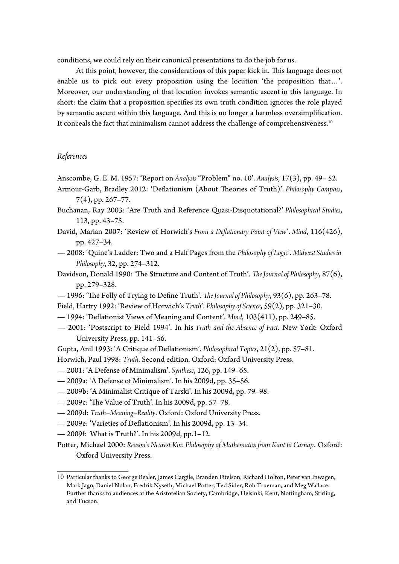conditions, we could rely on their canonical presentations to do the job for us.

At this point, however, the considerations of this paper kick in. This language does not enable us to pick out every proposition using the locution 'the proposition that…'. Moreover, our understanding of that locution invokes semantic ascent in this language. In short: the claim that a proposition specifes its own truth condition ignores the role played by semantic ascent within this language. And this is no longer a harmless oversimplifcation. It conceals the fact that minimalism cannot address the challenge of comprehensiveness.<sup>10</sup>

### *References*

- Anscombe, G. E. M. 1957: 'Report on *Analysis* "Problem" no. 10'. *Analysis*, 17(3), pp. 49– 52.
- Armour-Garb, Bradley 2012: 'Deflationism (About Theories of Truth)'. *Philosophy Compass*, 7(4), pp. 267–77.
- Buchanan, Ray 2003: 'Are Truth and Reference Quasi-Disquotational?' *Philosophical Studies*, 113, pp. 43–75.
- David, Marian 2007: 'Review of Horwich's *From a Defationary Point of View*'. *Mind*, 116(426), pp. 427–34.
- 2008: 'Quine's Ladder: Two and a Half Pages from the *Philosophy of Logic*'. *Midwest Studies in Philosophy*, 32, pp. 274–312.
- Davidson, Donald 1990: 'The Structure and Content of Truth'. *The Journal of Philosophy*, 87(6), pp. 279–328.
- 1996: 'The Folly of Trying to Define Truth'. *The Journal of Philosophy*, 93(6), pp. 263–78.
- Field, Hartry 1992: 'Review of Horwich's *Truth*'. *Philosophy of Science*, 59(2), pp. 321–30.
- 1994: 'Defationist Views of Meaning and Content'. *Mind*, 103(411), pp. 249–85.
- 2001: 'Postscript to Field 1994'. In his *Truth and the Absence of Fact*. New York: Oxford University Press, pp. 141–56.
- Gupta, Anil 1993: 'A Critique of Defationism'. *Philosophical Topics*, 21(2), pp. 57–81.

Horwich, Paul 1998: *Truth*. Second edition. Oxford: Oxford University Press.

- 2001: 'A Defense of Minimalism'. *Synthese*, 126, pp. 149–65.
- 2009a: 'A Defense of Minimalism'. In his 2009d, pp. 35–56.
- 2009b: 'A Minimalist Critique of Tarski'. In his 2009d, pp. 79–98.
- 2009c: 'Te Value of Truth'. In his 2009d, pp. 57–78.
- 2009d: *Truth–Meaning–Reality*. Oxford: Oxford University Press.
- 2009e: 'Varieties of Defationism'. In his 2009d, pp. 13–34.
- 2009f: 'What is Truth?'. In his 2009d, pp.1–12.
- Poter, Michael 2000: *Reason's Nearest Kin: Philosophy of Mathematics fom Kant to Carnap*. Oxford: Oxford University Press.

<sup>10</sup> Particular thanks to George Bealer, James Cargile, Branden Fitelson, Richard Holton, Peter van Inwagen, Mark Jago, Daniel Nolan, Fredrik Nyseth, Michael Poter, Ted Sider, Rob Trueman, and Meg Wallace. Further thanks to audiences at the Aristotelian Society, Cambridge, Helsinki, Kent, Notingham, Stirling, and Tucson.